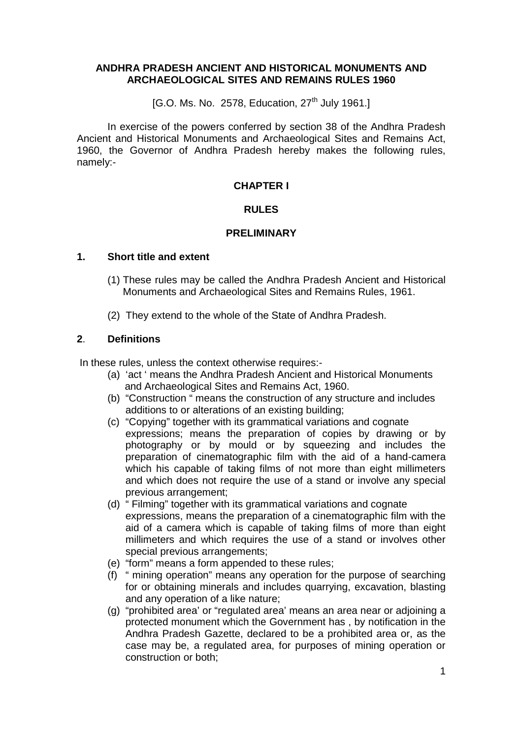### **ANDHRA PRADESH ANCIENT AND HISTORICAL MONUMENTS AND ARCHAEOLOGICAL SITES AND REMAINS RULES 1960**

 $[G.O.$  Ms. No. 2578, Education,  $27<sup>th</sup>$  July 1961.

In exercise of the powers conferred by section 38 of the Andhra Pradesh Ancient and Historical Monuments and Archaeological Sites and Remains Act, 1960, the Governor of Andhra Pradesh hereby makes the following rules, namely:-

## **CHAPTER I**

### **RULES**

### **PRELIMINARY**

### **1. Short title and extent**

- (1) These rules may be called the Andhra Pradesh Ancient and Historical Monuments and Archaeological Sites and Remains Rules, 1961.
- (2) They extend to the whole of the State of Andhra Pradesh.

## **2**. **Definitions**

In these rules, unless the context otherwise requires:-

- (a) 'act ' means the Andhra Pradesh Ancient and Historical Monuments and Archaeological Sites and Remains Act, 1960.
- (b) "Construction " means the construction of any structure and includes additions to or alterations of an existing building;
- (c) "Copying" together with its grammatical variations and cognate expressions; means the preparation of copies by drawing or by photography or by mould or by squeezing and includes the preparation of cinematographic film with the aid of a hand-camera which his capable of taking films of not more than eight millimeters and which does not require the use of a stand or involve any special previous arrangement;
- (d) " Filming" together with its grammatical variations and cognate expressions, means the preparation of a cinematographic film with the aid of a camera which is capable of taking films of more than eight millimeters and which requires the use of a stand or involves other special previous arrangements;
- (e) "form" means a form appended to these rules;
- (f) " mining operation" means any operation for the purpose of searching for or obtaining minerals and includes quarrying, excavation, blasting and any operation of a like nature;
- (g) "prohibited area' or "regulated area' means an area near or adjoining a protected monument which the Government has , by notification in the Andhra Pradesh Gazette, declared to be a prohibited area or, as the case may be, a regulated area, for purposes of mining operation or construction or both;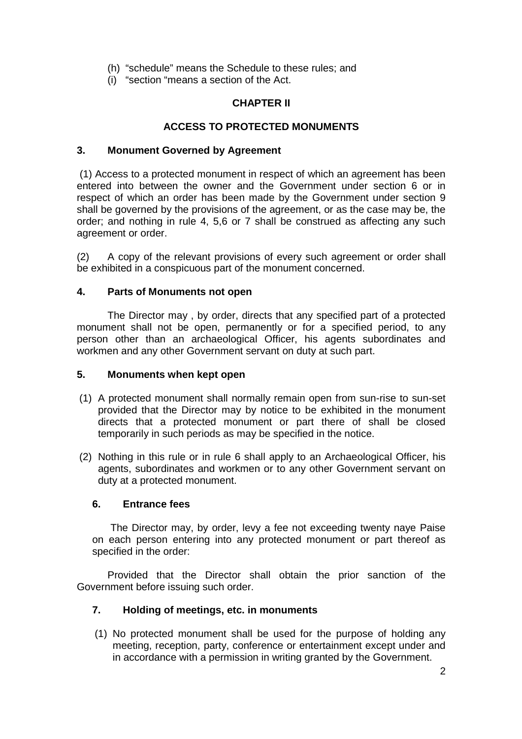- (h) "schedule" means the Schedule to these rules; and
- (i) "section "means a section of the Act.

# **CHAPTER II**

# **ACCESS TO PROTECTED MONUMENTS**

# **3. Monument Governed by Agreement**

(1) Access to a protected monument in respect of which an agreement has been entered into between the owner and the Government under section 6 or in respect of which an order has been made by the Government under section 9 shall be governed by the provisions of the agreement, or as the case may be, the order; and nothing in rule 4, 5,6 or 7 shall be construed as affecting any such agreement or order.

(2) A copy of the relevant provisions of every such agreement or order shall be exhibited in a conspicuous part of the monument concerned.

# **4. Parts of Monuments not open**

The Director may , by order, directs that any specified part of a protected monument shall not be open, permanently or for a specified period, to any person other than an archaeological Officer, his agents subordinates and workmen and any other Government servant on duty at such part.

## **5. Monuments when kept open**

- (1) A protected monument shall normally remain open from sun-rise to sun-set provided that the Director may by notice to be exhibited in the monument directs that a protected monument or part there of shall be closed temporarily in such periods as may be specified in the notice.
- (2) Nothing in this rule or in rule 6 shall apply to an Archaeological Officer, his agents, subordinates and workmen or to any other Government servant on duty at a protected monument.

## **6. Entrance fees**

The Director may, by order, levy a fee not exceeding twenty naye Paise on each person entering into any protected monument or part thereof as specified in the order:

Provided that the Director shall obtain the prior sanction of the Government before issuing such order.

# **7. Holding of meetings, etc. in monuments**

(1) No protected monument shall be used for the purpose of holding any meeting, reception, party, conference or entertainment except under and in accordance with a permission in writing granted by the Government.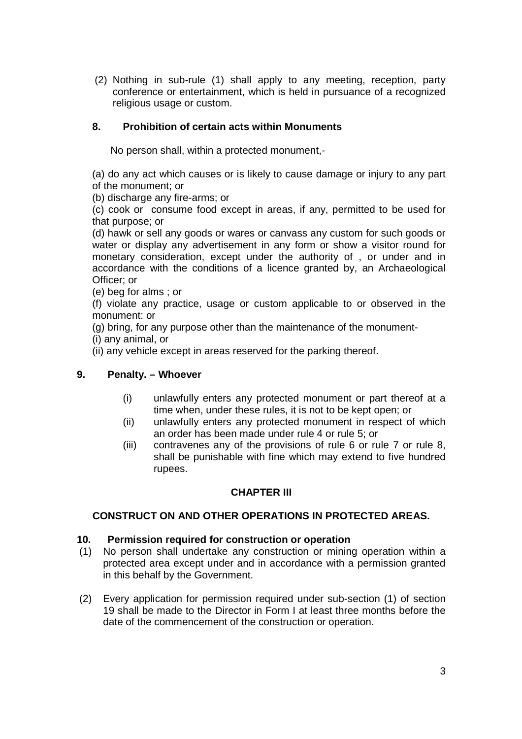(2) Nothing in sub-rule (1) shall apply to any meeting, reception, party conference or entertainment, which is held in pursuance of a recognized religious usage or custom.

# **8. Prohibition of certain acts within Monuments**

No person shall, within a protected monument,-

(a) do any act which causes or is likely to cause damage or injury to any part of the monument; or

(b) discharge any fire-arms; or

(c) cook or consume food except in areas, if any, permitted to be used for that purpose; or

(d) hawk or sell any goods or wares or canvass any custom for such goods or water or display any advertisement in any form or show a visitor round for monetary consideration, except under the authority of , or under and in accordance with the conditions of a licence granted by, an Archaeological Officer; or

(e) beg for alms ; or

(f) violate any practice, usage or custom applicable to or observed in the monument: or

(g) bring, for any purpose other than the maintenance of the monument-

(i) any animal, or

(ii) any vehicle except in areas reserved for the parking thereof.

## **9. Penalty. – Whoever**

- (i) unlawfully enters any protected monument or part thereof at a time when, under these rules, it is not to be kept open; or
- (ii) unlawfully enters any protected monument in respect of which an order has been made under rule 4 or rule 5; or
- (iii) contravenes any of the provisions of rule 6 or rule 7 or rule 8, shall be punishable with fine which may extend to five hundred rupees.

## **CHAPTER III**

## **CONSTRUCT ON AND OTHER OPERATIONS IN PROTECTED AREAS.**

#### **10. Permission required for construction or operation**

- (1) No person shall undertake any construction or mining operation within a protected area except under and in accordance with a permission granted in this behalf by the Government.
- (2) Every application for permission required under sub-section (1) of section 19 shall be made to the Director in Form I at least three months before the date of the commencement of the construction or operation.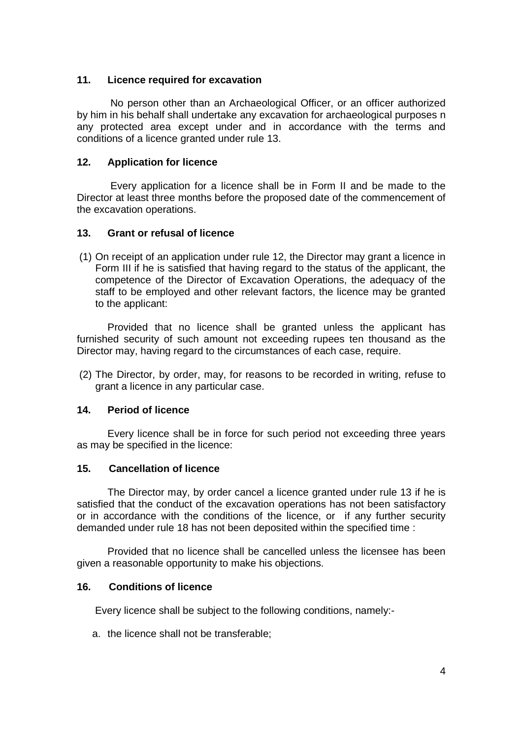## **11. Licence required for excavation**

No person other than an Archaeological Officer, or an officer authorized by him in his behalf shall undertake any excavation for archaeological purposes n any protected area except under and in accordance with the terms and conditions of a licence granted under rule 13.

### **12. Application for licence**

Every application for a licence shall be in Form II and be made to the Director at least three months before the proposed date of the commencement of the excavation operations.

#### **13. Grant or refusal of licence**

(1) On receipt of an application under rule 12, the Director may grant a licence in Form III if he is satisfied that having regard to the status of the applicant, the competence of the Director of Excavation Operations, the adequacy of the staff to be employed and other relevant factors, the licence may be granted to the applicant:

Provided that no licence shall be granted unless the applicant has furnished security of such amount not exceeding rupees ten thousand as the Director may, having regard to the circumstances of each case, require.

(2) The Director, by order, may, for reasons to be recorded in writing, refuse to grant a licence in any particular case.

#### **14. Period of licence**

Every licence shall be in force for such period not exceeding three years as may be specified in the licence:

#### **15. Cancellation of licence**

The Director may, by order cancel a licence granted under rule 13 if he is satisfied that the conduct of the excavation operations has not been satisfactory or in accordance with the conditions of the licence, or if any further security demanded under rule 18 has not been deposited within the specified time :

Provided that no licence shall be cancelled unless the licensee has been given a reasonable opportunity to make his objections.

#### **16. Conditions of licence**

Every licence shall be subject to the following conditions, namely:-

a. the licence shall not be transferable;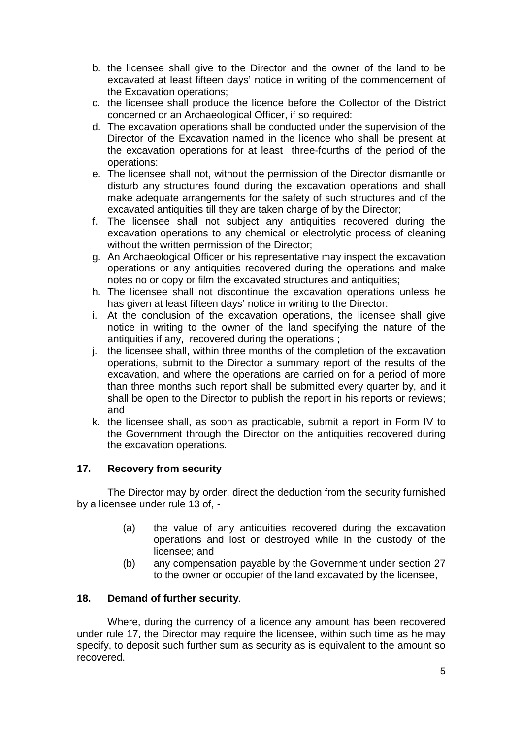- b. the licensee shall give to the Director and the owner of the land to be excavated at least fifteen days' notice in writing of the commencement of the Excavation operations;
- c. the licensee shall produce the licence before the Collector of the District concerned or an Archaeological Officer, if so required:
- d. The excavation operations shall be conducted under the supervision of the Director of the Excavation named in the licence who shall be present at the excavation operations for at least three-fourths of the period of the operations:
- e. The licensee shall not, without the permission of the Director dismantle or disturb any structures found during the excavation operations and shall make adequate arrangements for the safety of such structures and of the excavated antiquities till they are taken charge of by the Director;
- f. The licensee shall not subject any antiquities recovered during the excavation operations to any chemical or electrolytic process of cleaning without the written permission of the Director;
- g. An Archaeological Officer or his representative may inspect the excavation operations or any antiquities recovered during the operations and make notes no or copy or film the excavated structures and antiquities;
- h. The licensee shall not discontinue the excavation operations unless he has given at least fifteen days' notice in writing to the Director:
- i. At the conclusion of the excavation operations, the licensee shall give notice in writing to the owner of the land specifying the nature of the antiquities if any, recovered during the operations ;
- j. the licensee shall, within three months of the completion of the excavation operations, submit to the Director a summary report of the results of the excavation, and where the operations are carried on for a period of more than three months such report shall be submitted every quarter by, and it shall be open to the Director to publish the report in his reports or reviews; and
- k. the licensee shall, as soon as practicable, submit a report in Form IV to the Government through the Director on the antiquities recovered during the excavation operations.

# **17. Recovery from security**

The Director may by order, direct the deduction from the security furnished by a licensee under rule 13 of, -

- (a) the value of any antiquities recovered during the excavation operations and lost or destroyed while in the custody of the licensee; and
- (b) any compensation payable by the Government under section 27 to the owner or occupier of the land excavated by the licensee,

## **18. Demand of further security**.

Where, during the currency of a licence any amount has been recovered under rule 17, the Director may require the licensee, within such time as he may specify, to deposit such further sum as security as is equivalent to the amount so recovered.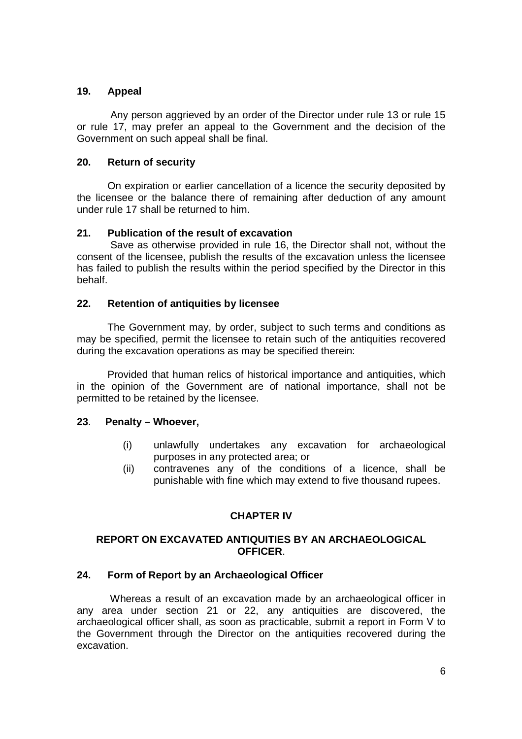# **19. Appeal**

Any person aggrieved by an order of the Director under rule 13 or rule 15 or rule 17, may prefer an appeal to the Government and the decision of the Government on such appeal shall be final.

# **20. Return of security**

On expiration or earlier cancellation of a licence the security deposited by the licensee or the balance there of remaining after deduction of any amount under rule 17 shall be returned to him.

# **21. Publication of the result of excavation**

Save as otherwise provided in rule 16, the Director shall not, without the consent of the licensee, publish the results of the excavation unless the licensee has failed to publish the results within the period specified by the Director in this behalf.

# **22. Retention of antiquities by licensee**

The Government may, by order, subject to such terms and conditions as may be specified, permit the licensee to retain such of the antiquities recovered during the excavation operations as may be specified therein:

Provided that human relics of historical importance and antiquities, which in the opinion of the Government are of national importance, shall not be permitted to be retained by the licensee.

## **23**. **Penalty – Whoever,**

- (i) unlawfully undertakes any excavation for archaeological purposes in any protected area; or
- (ii) contravenes any of the conditions of a licence, shall be punishable with fine which may extend to five thousand rupees.

# **CHAPTER IV**

## **REPORT ON EXCAVATED ANTIQUITIES BY AN ARCHAEOLOGICAL OFFICER**.

## **24. Form of Report by an Archaeological Officer**

Whereas a result of an excavation made by an archaeological officer in any area under section 21 or 22, any antiquities are discovered, the archaeological officer shall, as soon as practicable, submit a report in Form V to the Government through the Director on the antiquities recovered during the excavation.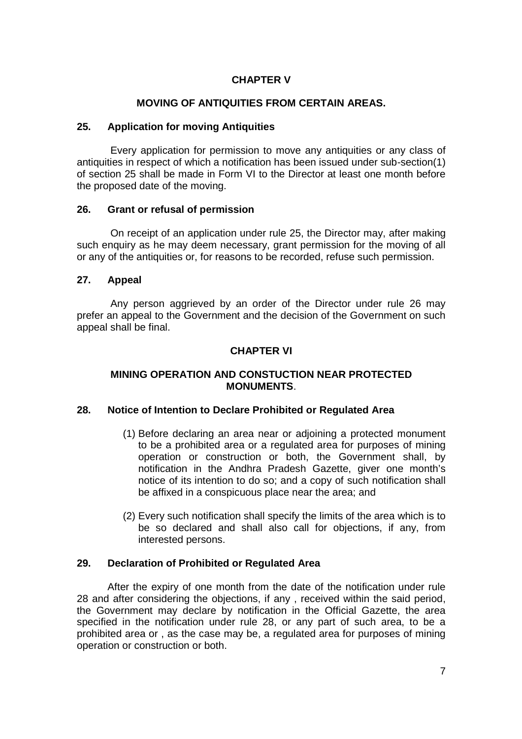# **CHAPTER V**

### **MOVING OF ANTIQUITIES FROM CERTAIN AREAS.**

#### **25. Application for moving Antiquities**

Every application for permission to move any antiquities or any class of antiquities in respect of which a notification has been issued under sub-section(1) of section 25 shall be made in Form VI to the Director at least one month before the proposed date of the moving.

### **26. Grant or refusal of permission**

On receipt of an application under rule 25, the Director may, after making such enquiry as he may deem necessary, grant permission for the moving of all or any of the antiquities or, for reasons to be recorded, refuse such permission.

### **27. Appeal**

Any person aggrieved by an order of the Director under rule 26 may prefer an appeal to the Government and the decision of the Government on such appeal shall be final.

## **CHAPTER VI**

### **MINING OPERATION AND CONSTUCTION NEAR PROTECTED MONUMENTS**.

#### **28. Notice of Intention to Declare Prohibited or Regulated Area**

- (1) Before declaring an area near or adjoining a protected monument to be a prohibited area or a regulated area for purposes of mining operation or construction or both, the Government shall, by notification in the Andhra Pradesh Gazette, giver one month's notice of its intention to do so; and a copy of such notification shall be affixed in a conspicuous place near the area; and
- (2) Every such notification shall specify the limits of the area which is to be so declared and shall also call for objections, if any, from interested persons.

### **29. Declaration of Prohibited or Regulated Area**

After the expiry of one month from the date of the notification under rule 28 and after considering the objections, if any , received within the said period, the Government may declare by notification in the Official Gazette, the area specified in the notification under rule 28, or any part of such area, to be a prohibited area or , as the case may be, a regulated area for purposes of mining operation or construction or both.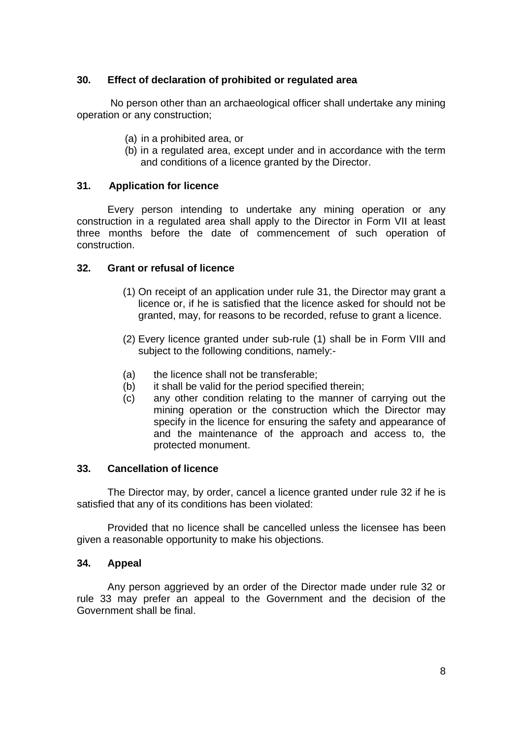# **30. Effect of declaration of prohibited or regulated area**

No person other than an archaeological officer shall undertake any mining operation or any construction;

- (a) in a prohibited area, or
- (b) in a regulated area, except under and in accordance with the term and conditions of a licence granted by the Director.

### **31. Application for licence**

Every person intending to undertake any mining operation or any construction in a regulated area shall apply to the Director in Form VII at least three months before the date of commencement of such operation of construction.

### **32. Grant or refusal of licence**

- (1) On receipt of an application under rule 31, the Director may grant a licence or, if he is satisfied that the licence asked for should not be granted, may, for reasons to be recorded, refuse to grant a licence.
- (2) Every licence granted under sub-rule (1) shall be in Form VIII and subject to the following conditions, namely:-
- (a) the licence shall not be transferable;
- (b) it shall be valid for the period specified therein;
- (c) any other condition relating to the manner of carrying out the mining operation or the construction which the Director may specify in the licence for ensuring the safety and appearance of and the maintenance of the approach and access to, the protected monument.

#### **33. Cancellation of licence**

The Director may, by order, cancel a licence granted under rule 32 if he is satisfied that any of its conditions has been violated:

Provided that no licence shall be cancelled unless the licensee has been given a reasonable opportunity to make his objections.

#### **34. Appeal**

Any person aggrieved by an order of the Director made under rule 32 or rule 33 may prefer an appeal to the Government and the decision of the Government shall be final.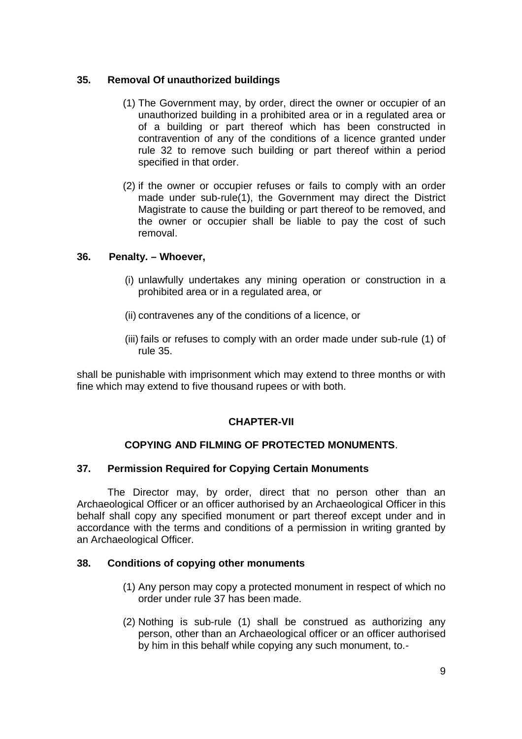# **35. Removal Of unauthorized buildings**

- (1) The Government may, by order, direct the owner or occupier of an unauthorized building in a prohibited area or in a regulated area or of a building or part thereof which has been constructed in contravention of any of the conditions of a licence granted under rule 32 to remove such building or part thereof within a period specified in that order.
- (2) if the owner or occupier refuses or fails to comply with an order made under sub-rule(1), the Government may direct the District Magistrate to cause the building or part thereof to be removed, and the owner or occupier shall be liable to pay the cost of such removal.

## **36. Penalty. – Whoever,**

- (i) unlawfully undertakes any mining operation or construction in a prohibited area or in a regulated area, or
- (ii) contravenes any of the conditions of a licence, or
- (iii) fails or refuses to comply with an order made under sub-rule (1) of rule 35.

shall be punishable with imprisonment which may extend to three months or with fine which may extend to five thousand rupees or with both.

## **CHAPTER-VII**

## **COPYING AND FILMING OF PROTECTED MONUMENTS**.

## **37. Permission Required for Copying Certain Monuments**

The Director may, by order, direct that no person other than an Archaeological Officer or an officer authorised by an Archaeological Officer in this behalf shall copy any specified monument or part thereof except under and in accordance with the terms and conditions of a permission in writing granted by an Archaeological Officer.

## **38. Conditions of copying other monuments**

- (1) Any person may copy a protected monument in respect of which no order under rule 37 has been made.
- (2) Nothing is sub-rule (1) shall be construed as authorizing any person, other than an Archaeological officer or an officer authorised by him in this behalf while copying any such monument, to.-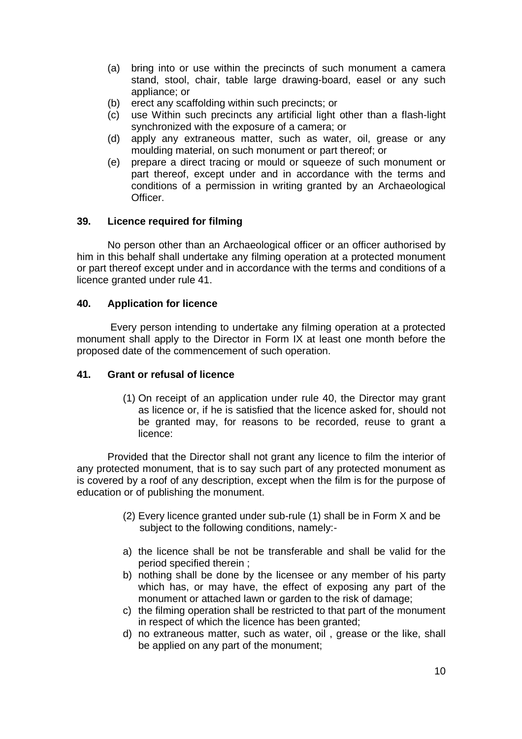- (a) bring into or use within the precincts of such monument a camera stand, stool, chair, table large drawing-board, easel or any such appliance; or
- (b) erect any scaffolding within such precincts; or
- (c) use Within such precincts any artificial light other than a flash-light synchronized with the exposure of a camera; or
- (d) apply any extraneous matter, such as water, oil, grease or any moulding material, on such monument or part thereof; or
- (e) prepare a direct tracing or mould or squeeze of such monument or part thereof, except under and in accordance with the terms and conditions of a permission in writing granted by an Archaeological Officer.

### **39. Licence required for filming**

No person other than an Archaeological officer or an officer authorised by him in this behalf shall undertake any filming operation at a protected monument or part thereof except under and in accordance with the terms and conditions of a licence granted under rule 41.

### **40. Application for licence**

Every person intending to undertake any filming operation at a protected monument shall apply to the Director in Form IX at least one month before the proposed date of the commencement of such operation.

#### **41. Grant or refusal of licence**

(1) On receipt of an application under rule 40, the Director may grant as licence or, if he is satisfied that the licence asked for, should not be granted may, for reasons to be recorded, reuse to grant a licence:

Provided that the Director shall not grant any licence to film the interior of any protected monument, that is to say such part of any protected monument as is covered by a roof of any description, except when the film is for the purpose of education or of publishing the monument.

- (2) Every licence granted under sub-rule (1) shall be in Form X and be subject to the following conditions, namely:-
- a) the licence shall be not be transferable and shall be valid for the period specified therein ;
- b) nothing shall be done by the licensee or any member of his party which has, or may have, the effect of exposing any part of the monument or attached lawn or garden to the risk of damage;
- c) the filming operation shall be restricted to that part of the monument in respect of which the licence has been granted;
- d) no extraneous matter, such as water, oil , grease or the like, shall be applied on any part of the monument;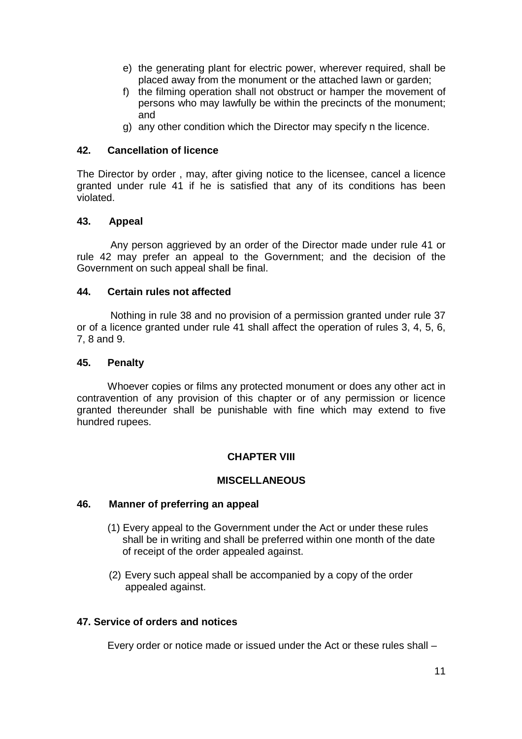- e) the generating plant for electric power, wherever required, shall be placed away from the monument or the attached lawn or garden;
- f) the filming operation shall not obstruct or hamper the movement of persons who may lawfully be within the precincts of the monument; and
- g) any other condition which the Director may specify n the licence.

### **42. Cancellation of licence**

The Director by order , may, after giving notice to the licensee, cancel a licence granted under rule 41 if he is satisfied that any of its conditions has been violated.

### **43. Appeal**

Any person aggrieved by an order of the Director made under rule 41 or rule 42 may prefer an appeal to the Government; and the decision of the Government on such appeal shall be final.

### **44. Certain rules not affected**

Nothing in rule 38 and no provision of a permission granted under rule 37 or of a licence granted under rule 41 shall affect the operation of rules 3, 4, 5, 6, 7, 8 and 9.

#### **45. Penalty**

Whoever copies or films any protected monument or does any other act in contravention of any provision of this chapter or of any permission or licence granted thereunder shall be punishable with fine which may extend to five hundred rupees.

## **CHAPTER VIII**

#### **MISCELLANEOUS**

#### **46. Manner of preferring an appeal**

- (1) Every appeal to the Government under the Act or under these rules shall be in writing and shall be preferred within one month of the date of receipt of the order appealed against.
- (2) Every such appeal shall be accompanied by a copy of the order appealed against.

### **47. Service of orders and notices**

Every order or notice made or issued under the Act or these rules shall –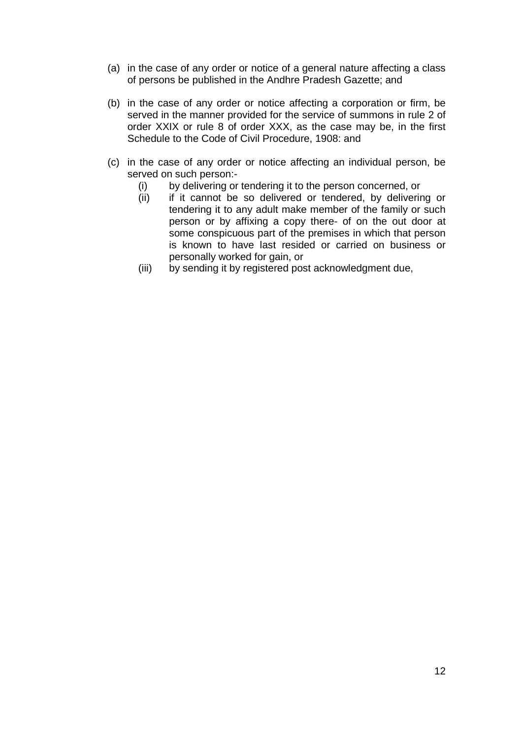- (a) in the case of any order or notice of a general nature affecting a class of persons be published in the Andhre Pradesh Gazette; and
- (b) in the case of any order or notice affecting a corporation or firm, be served in the manner provided for the service of summons in rule 2 of order XXIX or rule 8 of order XXX, as the case may be, in the first Schedule to the Code of Civil Procedure, 1908: and
- (c) in the case of any order or notice affecting an individual person, be served on such person:-
	- (i) by delivering or tendering it to the person concerned, or
	- (ii) if it cannot be so delivered or tendered, by delivering or tendering it to any adult make member of the family or such person or by affixing a copy there- of on the out door at some conspicuous part of the premises in which that person is known to have last resided or carried on business or personally worked for gain, or
	- (iii) by sending it by registered post acknowledgment due,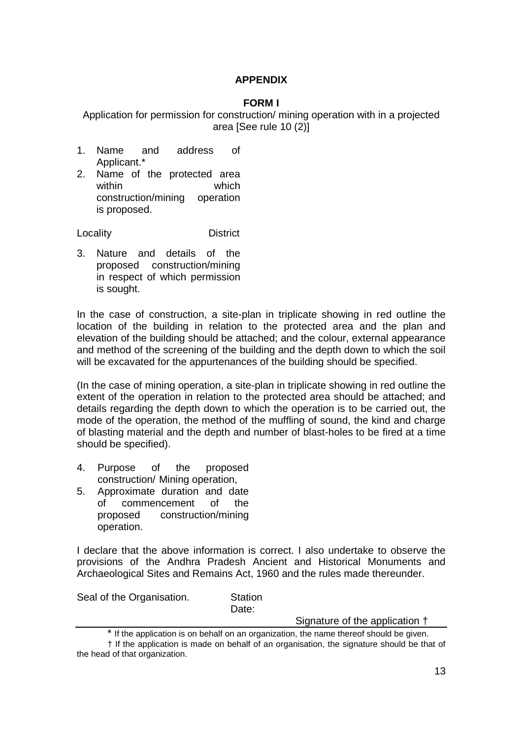# **APPENDIX**

# **FORM I**

Application for permission for construction/ mining operation with in a projected area [See rule 10 (2)]

- 1. Name and address of Applicant.\*
- 2. Name of the protected area within **which** construction/mining operation is proposed.

Locality District

3. Nature and details of the proposed construction/mining in respect of which permission is sought.

In the case of construction, a site-plan in triplicate showing in red outline the location of the building in relation to the protected area and the plan and elevation of the building should be attached; and the colour, external appearance and method of the screening of the building and the depth down to which the soil will be excavated for the appurtenances of the building should be specified.

(In the case of mining operation, a site-plan in triplicate showing in red outline the extent of the operation in relation to the protected area should be attached; and details regarding the depth down to which the operation is to be carried out, the mode of the operation, the method of the muffling of sound, the kind and charge of blasting material and the depth and number of blast-holes to be fired at a time should be specified).

- 4. Purpose of the proposed construction/ Mining operation,
- 5. Approximate duration and date of commencement of the proposed construction/mining operation.

I declare that the above information is correct. I also undertake to observe the provisions of the Andhra Pradesh Ancient and Historical Monuments and Archaeological Sites and Remains Act, 1960 and the rules made thereunder.

Seal of the Organisation. Station

Date:

Signature of the application †

<sup>\*</sup> If the application is on behalf on an organization, the name thereof should be given.

<sup>†</sup> If the application is made on behalf of an organisation, the signature should be that of the head of that organization.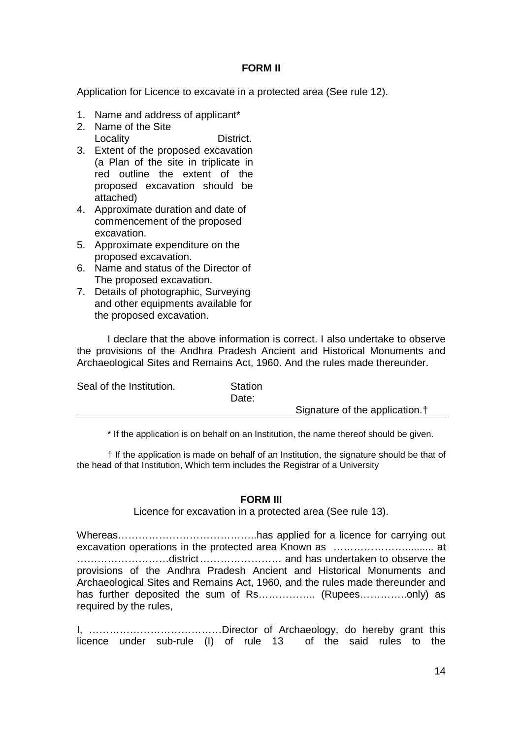### **FORM II**

Application for Licence to excavate in a protected area (See rule 12).

- 1. Name and address of applicant\*
- 2. Name of the Site Locality **District.**
- 3. Extent of the proposed excavation (a Plan of the site in triplicate in red outline the extent of the proposed excavation should be attached)
- 4. Approximate duration and date of commencement of the proposed excavation.
- 5. Approximate expenditure on the proposed excavation.
- 6. Name and status of the Director of The proposed excavation.
- 7. Details of photographic, Surveying and other equipments available for the proposed excavation.

I declare that the above information is correct. I also undertake to observe the provisions of the Andhra Pradesh Ancient and Historical Monuments and Archaeological Sites and Remains Act, 1960. And the rules made thereunder.

| Seal of the Institution. | Station<br>Date: |                                            |
|--------------------------|------------------|--------------------------------------------|
|                          |                  | Signature of the application. <sup>†</sup> |

\* If the application is on behalf on an Institution, the name thereof should be given.

† If the application is made on behalf of an Institution, the signature should be that of the head of that Institution, Which term includes the Registrar of a University

## **FORM III**

Licence for excavation in a protected area (See rule 13).

Whereas…………………………………..has applied for a licence for carrying out excavation operations in the protected area Known as ………………….......... at ………………………district…………………… and has undertaken to observe the provisions of the Andhra Pradesh Ancient and Historical Monuments and Archaeological Sites and Remains Act, 1960, and the rules made thereunder and has further deposited the sum of Rs…………….. (Rupees…………..only) as required by the rules,

I, …………………………………Director of Archaeology, do hereby grant this licence under sub-rule (I) of rule 13 of the said rules to the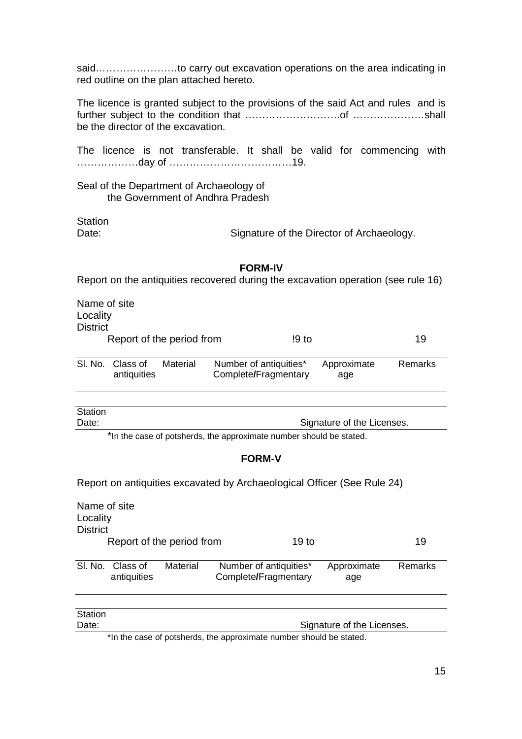said……………………to carry out excavation operations on the area indicating in red outline on the plan attached hereto.

The licence is granted subject to the provisions of the said Act and rules and is further subject to the condition that ……………………….of …………………shall be the director of the excavation.

The licence is not transferable. It shall be valid for commencing with ………………day of ………………………………19.

Seal of the Department of Archaeology of the Government of Andhra Pradesh

**Station** 

Date: Signature of the Director of Archaeology.

#### **FORM-IV**

Report on the antiquities recovered during the excavation operation (see rule 16)

Name of site Locality **District** Report of the period from 19 to 19 Sl. No. Class of Material Number of antiquities\* Approximate Remarks

| SI. NO. Class of | Material | Number of antiquities" | Approximate | Remarks |
|------------------|----------|------------------------|-------------|---------|
| antiquities      |          | Complete/Fragmentary   | age         |         |
|                  |          |                        |             |         |

| Station |                            |
|---------|----------------------------|
| Date:   | Signature of the Licenses. |

\*In the case of potsherds, the approximate number should be stated.

#### **FORM-V**

Report on antiquities excavated by Archaeological Officer (See Rule 24)

| Name of site<br>Locality<br><b>District</b> |                           |          |                                                                    |                            |         |
|---------------------------------------------|---------------------------|----------|--------------------------------------------------------------------|----------------------------|---------|
|                                             | Report of the period from |          | 19 <sub>to</sub>                                                   |                            | 19      |
| SI. No.                                     | Class of<br>antiquities   | Material | Number of antiquities*<br>Complete/Fragmentary                     | Approximate<br>age         | Remarks |
|                                             |                           |          |                                                                    |                            |         |
| Station                                     |                           |          |                                                                    |                            |         |
| Date:                                       |                           |          |                                                                    | Signature of the Licenses. |         |
|                                             |                           |          | *In the case of potsherds, the approximate number should be stated |                            |         |

\*In the case of potsherds, the approximate number should be stated.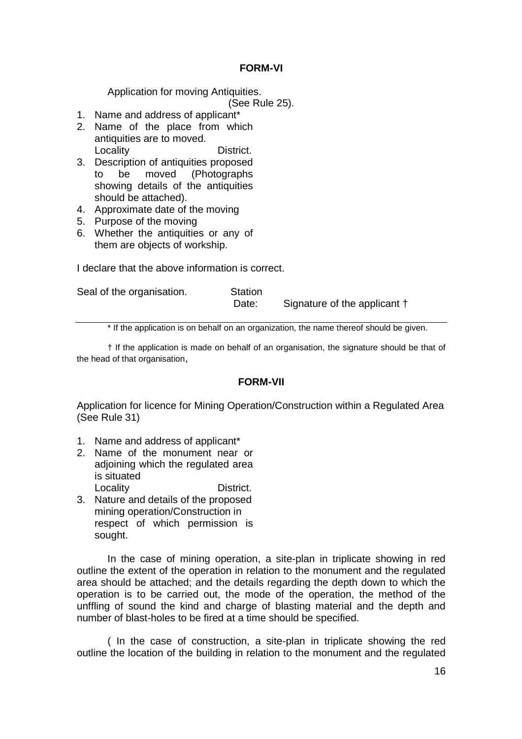### **FORM-VI**

Application for moving Antiquities.

(See Rule 25).

- 1. Name and address of applicant\*
- 2. Name of the place from which antiquities are to moved. Locality **District.**
- 3. Description of antiquities proposed to be moved (Photographs showing details of the antiquities should be attached).
- 4. Approximate date of the moving
- 5. Purpose of the moving
- 6. Whether the antiquities or any of them are objects of workship.

I declare that the above information is correct.

| Seal of the organisation. | Station |                              |
|---------------------------|---------|------------------------------|
|                           | Date:   | Signature of the applicant † |

\* If the application is on behalf on an organization, the name thereof should be given.

† If the application is made on behalf of an organisation, the signature should be that of the head of that organisation,

#### **FORM-VII**

Application for licence for Mining Operation/Construction within a Regulated Area (See Rule 31)

- 1. Name and address of applicant\*
- 2. Name of the monument near or adjoining which the regulated area is situated Locality **District.**
- 3. Nature and details of the proposed mining operation/Construction in respect of which permission is sought.

In the case of mining operation, a site-plan in triplicate showing in red outline the extent of the operation in relation to the monument and the regulated area should be attached; and the details regarding the depth down to which the operation is to be carried out, the mode of the operation, the method of the unffling of sound the kind and charge of blasting material and the depth and number of blast-holes to be fired at a time should be specified.

( In the case of construction, a site-plan in triplicate showing the red outline the location of the building in relation to the monument and the regulated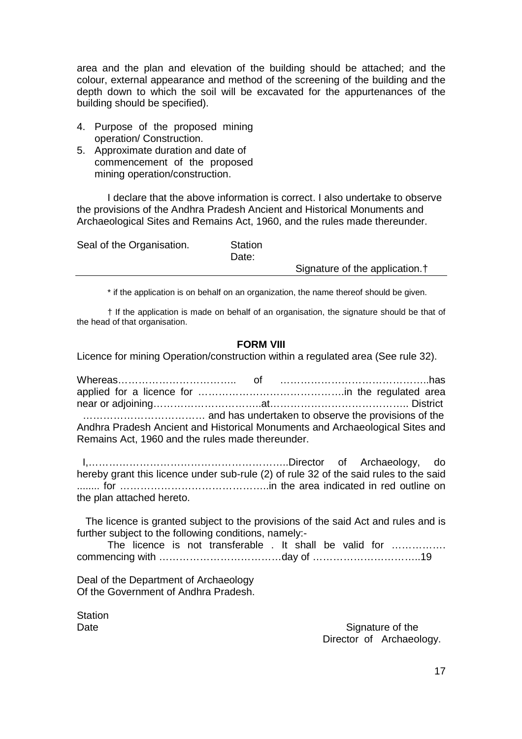area and the plan and elevation of the building should be attached; and the colour, external appearance and method of the screening of the building and the depth down to which the soil will be excavated for the appurtenances of the building should be specified).

- 4. Purpose of the proposed mining operation/ Construction.
- 5. Approximate duration and date of commencement of the proposed mining operation/construction.

I declare that the above information is correct. I also undertake to observe the provisions of the Andhra Pradesh Ancient and Historical Monuments and Archaeological Sites and Remains Act, 1960, and the rules made thereunder.

| Seal of the Organisation. | Station<br>Date: |                                            |
|---------------------------|------------------|--------------------------------------------|
|                           |                  | Signature of the application. <sup>†</sup> |
|                           |                  |                                            |

\* if the application is on behalf on an organization, the name thereof should be given.

† If the application is made on behalf of an organisation, the signature should be that of the head of that organisation.

## **FORM VIII**

Licence for mining Operation/construction within a regulated area (See rule 32).

Whereas…………………………….. of ……………………………………..has applied for a licence for …………………………………….in the regulated area near or adjoining…………………………..at………………………………….. District ……………………………… and has undertaken to observe the provisions of the Andhra Pradesh Ancient and Historical Monuments and Archaeological Sites and Remains Act, 1960 and the rules made thereunder.

I,…………………………………………………..Director of Archaeology, do hereby grant this licence under sub-rule (2) of rule 32 of the said rules to the said ........ for ……………………………………..in the area indicated in red outline on the plan attached hereto.

The licence is granted subject to the provisions of the said Act and rules and is further subject to the following conditions, namely:-

The licence is not transferable . It shall be valid for ................ commencing with ………………………………day of …………………………..19

Deal of the Department of Archaeology Of the Government of Andhra Pradesh.

**Station** 

Date Signature of the Signature of the Signature of the Signature of the Signature of the Signature of the Signature of the Signature of the Signature of the Signature of the Signature of the Signature of the Signature of Director of Archaeology.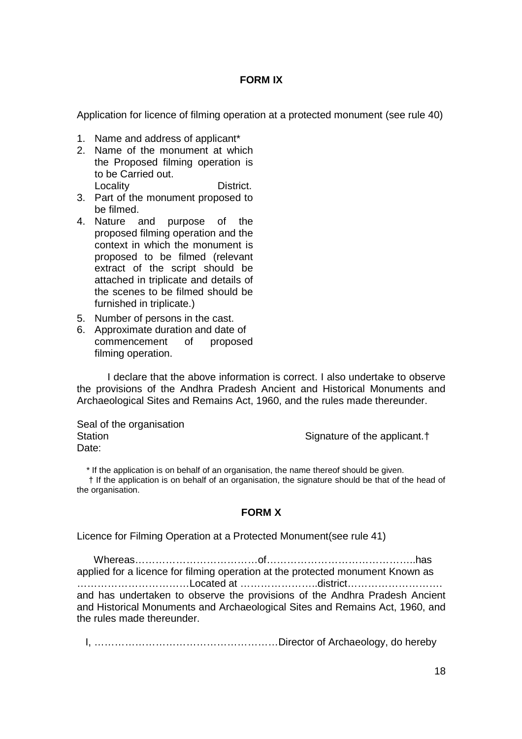#### **FORM IX**

Application for licence of filming operation at a protected monument (see rule 40)

- 1. Name and address of applicant\*
- 2. Name of the monument at which the Proposed filming operation is to be Carried out. Locality **District.**
- 3. Part of the monument proposed to be filmed.
- 4. Nature and purpose of the proposed filming operation and the context in which the monument is proposed to be filmed (relevant extract of the script should be attached in triplicate and details of the scenes to be filmed should be furnished in triplicate.)
- 5. Number of persons in the cast.
- 6. Approximate duration and date of commencement of proposed filming operation.

I declare that the above information is correct. I also undertake to observe the provisions of the Andhra Pradesh Ancient and Historical Monuments and Archaeological Sites and Remains Act, 1960, and the rules made thereunder.

Seal of the organisation Date:

Station Station Station Signature of the applicant.<sup>†</sup>

\* If the application is on behalf of an organisation, the name thereof should be given. † If the application is on behalf of an organisation, the signature should be that of the head of the organisation.

## **FORM X**

Licence for Filming Operation at a Protected Monument(see rule 41)

Whereas………………………………of……………………………………..has applied for a licence for filming operation at the protected monument Known as ……………………………Located at …………………..district………………………. and has undertaken to observe the provisions of the Andhra Pradesh Ancient and Historical Monuments and Archaeological Sites and Remains Act, 1960, and the rules made thereunder.

I, ………………………………………………Director of Archaeology, do hereby